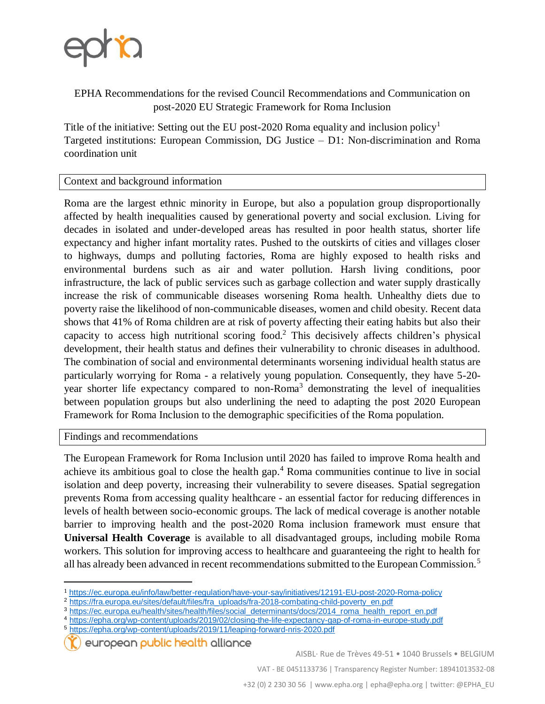

EPHA Recommendations for the revised Council Recommendations and Communication on post-2020 EU Strategic Framework for Roma Inclusion

Title of the initiative: Setting out the EU post-2020 Roma equality and inclusion policy<sup>1</sup> Targeted institutions: European Commission, DG Justice – D1: Non-discrimination and Roma coordination unit

## Context and background information

Roma are the largest ethnic minority in Europe, but also a population group disproportionally affected by health inequalities caused by generational poverty and social exclusion. Living for decades in isolated and under-developed areas has resulted in poor health status, shorter life expectancy and higher infant mortality rates. Pushed to the outskirts of cities and villages closer to highways, dumps and polluting factories, Roma are highly exposed to health risks and environmental burdens such as air and water pollution. Harsh living conditions, poor infrastructure, the lack of public services such as garbage collection and water supply drastically increase the risk of communicable diseases worsening Roma health. Unhealthy diets due to poverty raise the likelihood of non-communicable diseases, women and child obesity. Recent data shows that 41% of Roma children are at risk of poverty affecting their eating habits but also their capacity to access high nutritional scoring food.<sup>2</sup> This decisively affects children's physical development, their health status and defines their vulnerability to chronic diseases in adulthood. The combination of social and environmental determinants worsening individual health status are particularly worrying for Roma - a relatively young population. Consequently, they have 5-20 year shorter life expectancy compared to non-Roma<sup>3</sup> demonstrating the level of inequalities between population groups but also underlining the need to adapting the post 2020 European Framework for Roma Inclusion to the demographic specificities of the Roma population.

Findings and recommendations

 $\overline{a}$ 

The European Framework for Roma Inclusion until 2020 has failed to improve Roma health and achieve its ambitious goal to close the health gap.<sup>4</sup> Roma communities continue to live in social isolation and deep poverty, increasing their vulnerability to severe diseases. Spatial segregation prevents Roma from accessing quality healthcare - an essential factor for reducing differences in levels of health between socio-economic groups. The lack of medical coverage is another notable barrier to improving health and the post-2020 Roma inclusion framework must ensure that **Universal Health Coverage** is available to all disadvantaged groups, including mobile Roma workers. This solution for improving access to healthcare and guaranteeing the right to health for all has already been advanced in recent recommendations submitted to the European Commission.<sup>5</sup>

<sup>5</sup> <https://epha.org/wp-content/uploads/2019/11/leaping-forward-nris-2020.pdf>

european public health alliance

VAT - BE 0451133736 | Transparency Register Number: 18941013532-08

<sup>1</sup> <https://ec.europa.eu/info/law/better-regulation/have-your-say/initiatives/12191-EU-post-2020-Roma-policy>

<sup>&</sup>lt;sup>2</sup> [https://fra.europa.eu/sites/default/files/fra\\_uploads/fra-2018-combating-child-poverty\\_en.pdf](https://fra.europa.eu/sites/default/files/fra_uploads/fra-2018-combating-child-poverty_en.pdf)

<sup>3</sup> [https://ec.europa.eu/health/sites/health/files/social\\_determinants/docs/2014\\_roma\\_health\\_report\\_en.pdf](https://ec.europa.eu/health/sites/health/files/social_determinants/docs/2014_roma_health_report_en.pdf)

<sup>4</sup> <https://epha.org/wp-content/uploads/2019/02/closing-the-life-expectancy-gap-of-roma-in-europe-study.pdf>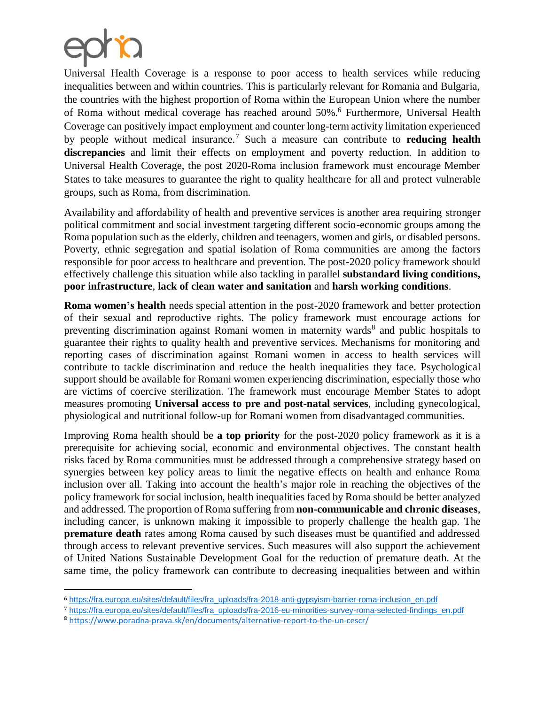

 $\overline{\phantom{a}}$ 

Universal Health Coverage is a response to poor access to health services while reducing inequalities between and within countries. This is particularly relevant for Romania and Bulgaria, the countries with the highest proportion of Roma within the European Union where the number of Roma without medical coverage has reached around 50%.<sup>6</sup> Furthermore, Universal Health Coverage can positively impact employment and counter long-term activity limitation experienced by people without medical insurance.<sup>7</sup> Such a measure can contribute to **reducing health discrepancies** and limit their effects on employment and poverty reduction. In addition to Universal Health Coverage, the post 2020-Roma inclusion framework must encourage Member States to take measures to guarantee the right to quality healthcare for all and protect vulnerable groups, such as Roma, from discrimination.

Availability and affordability of health and preventive services is another area requiring stronger political commitment and social investment targeting different socio-economic groups among the Roma population such as the elderly, children and teenagers, women and girls, or disabled persons. Poverty, ethnic segregation and spatial isolation of Roma communities are among the factors responsible for poor access to healthcare and prevention. The post-2020 policy framework should effectively challenge this situation while also tackling in parallel **substandard living conditions, poor infrastructure**, **lack of clean water and sanitation** and **harsh working conditions**.

**Roma women's health** needs special attention in the post-2020 framework and better protection of their sexual and reproductive rights. The policy framework must encourage actions for preventing discrimination against Romani women in maternity wards<sup>8</sup> and public hospitals to guarantee their rights to quality health and preventive services. Mechanisms for monitoring and reporting cases of discrimination against Romani women in access to health services will contribute to tackle discrimination and reduce the health inequalities they face. Psychological support should be available for Romani women experiencing discrimination, especially those who are victims of coercive sterilization. The framework must encourage Member States to adopt measures promoting **Universal access to pre and post-natal services**, including gynecological, physiological and nutritional follow-up for Romani women from disadvantaged communities.

Improving Roma health should be **a top priority** for the post-2020 policy framework as it is a prerequisite for achieving social, economic and environmental objectives. The constant health risks faced by Roma communities must be addressed through a comprehensive strategy based on synergies between key policy areas to limit the negative effects on health and enhance Roma inclusion over all. Taking into account the health's major role in reaching the objectives of the policy framework for social inclusion, health inequalities faced by Roma should be better analyzed and addressed. The proportion of Roma suffering from **non-communicable and chronic diseases**, including cancer, is unknown making it impossible to properly challenge the health gap. The **premature death** rates among Roma caused by such diseases must be quantified and addressed through access to relevant preventive services. Such measures will also support the achievement of United Nations Sustainable Development Goal for the reduction of premature death. At the same time, the policy framework can contribute to decreasing inequalities between and within

<sup>6</sup> [https://fra.europa.eu/sites/default/files/fra\\_uploads/fra-2018-anti-gypsyism-barrier-roma-inclusion\\_en.pdf](https://fra.europa.eu/sites/default/files/fra_uploads/fra-2018-anti-gypsyism-barrier-roma-inclusion_en.pdf)

<sup>7</sup> [https://fra.europa.eu/sites/default/files/fra\\_uploads/fra-2016-eu-minorities-survey-roma-selected-findings\\_en.pdf](https://fra.europa.eu/sites/default/files/fra_uploads/fra-2016-eu-minorities-survey-roma-selected-findings_en.pdf)

<sup>8</sup> <https://www.poradna-prava.sk/en/documents/alternative-report-to-the-un-cescr/>